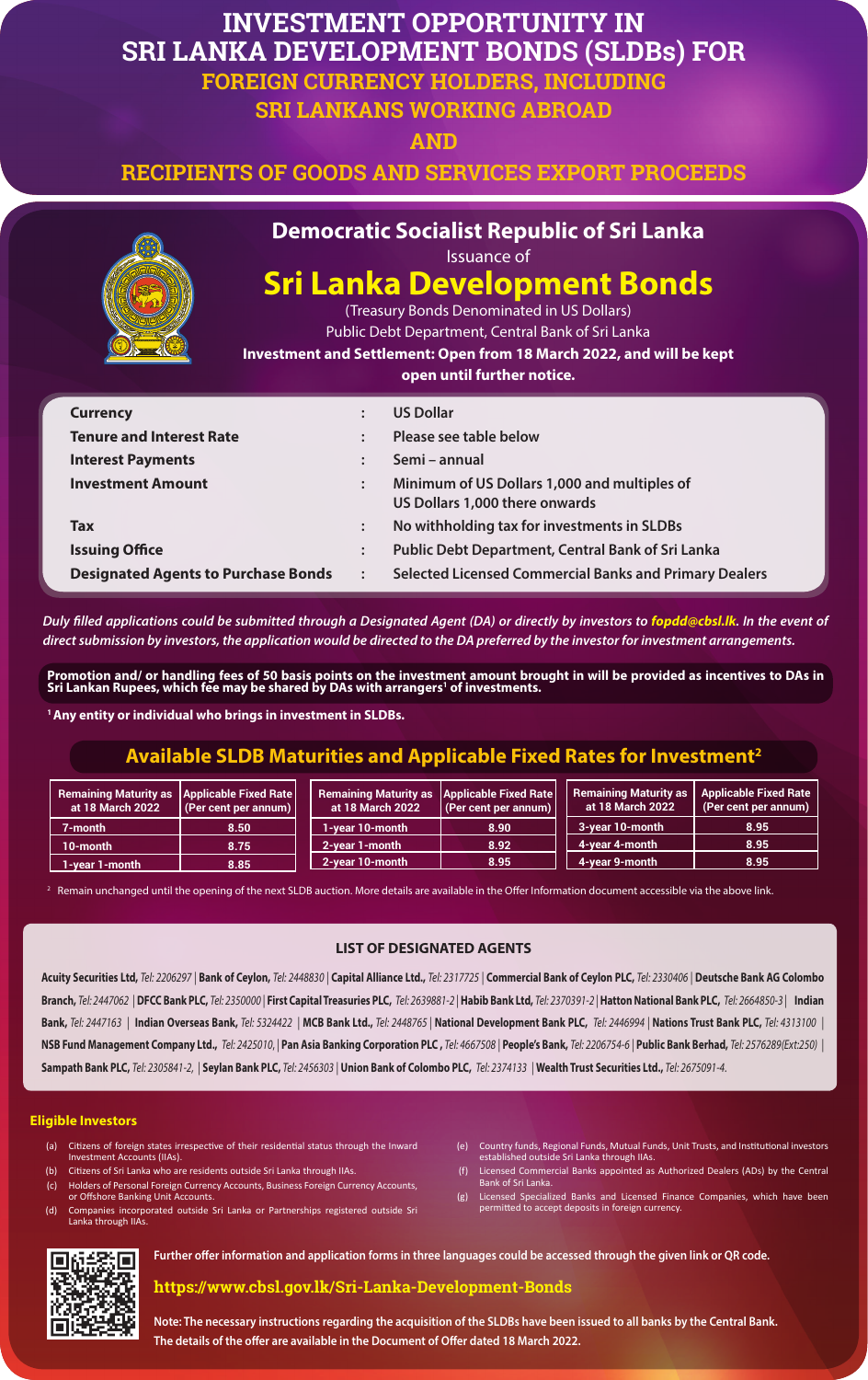# **INVESTMENT OPPORTUNITY IN SRI LANKA DEVELOPMENT BONDS (SLDBs) FOR FOREIGN CURRENCY HOLDERS, INCLUDING**

## **SRI LANKANS WORKING ABROAD**

**AND** 

**RECIPIENTS OF GOODS AND SERVICES EXPORT PROCEEDS** 



## **Democratic Socialist Republic of Sri Lanka**

Issuance of

# **Sri Lanka Development Bonds**

(Treasury Bonds Denominated in US Dollars) Public Debt Department, Central Bank of Sri Lanka

**Investment and Settlement: Open from 18 March 2022, and will be kept** 

**open until further notice.** 

*Duly filled applications could be submitted through a Designated Agent (DA) or directly by investors to <i>fopdd@cbsl.lk*. In the event of *direct submission by investors, the application would be directed to the DA preferred by the investor for investment arrangements.* 

| <b>Currency</b>                            | $\ddot{\cdot}$   | <b>US Dollar</b>                                                               |
|--------------------------------------------|------------------|--------------------------------------------------------------------------------|
| <b>Tenure and Interest Rate</b>            | $\ddot{\cdot}$   | Please see table below                                                         |
| <b>Interest Payments</b>                   | $\ddot{\cdot}$   | Semi - annual                                                                  |
| <b>Investment Amount</b>                   | $\ddot{\cdot}$   | Minimum of US Dollars 1,000 and multiples of<br>US Dollars 1,000 there onwards |
| <b>Tax</b>                                 | $\ddot{\bullet}$ | No withholding tax for investments in SLDBs                                    |
| <b>Issuing Office</b>                      | $\ddot{\cdot}$   | <b>Public Debt Department, Central Bank of Sri Lanka</b>                       |
| <b>Designated Agents to Purchase Bonds</b> | $\ddot{\cdot}$   | <b>Selected Licensed Commercial Banks and Primary Dealers</b>                  |

**Promotion and/ or handling fees of 50 basis points on the investment amount brought in will be provided as incentives to DAs in Sri Lankan Rupees, which fee may be shared by DAs with arrangers1 of investments.**

**1 Any entity or individual who brings in investment in SLDBs.**

**Note: The necessary instructions regarding the acquisition of the SLDBs have been issued to all banks by the Central Bank. The details of the offer are available in the Document of Offer dated 18 March 2022.**

Acuity Securities Ltd, Tel: 2206297 | Bank of Ceylon, Tel: 2448830 | Capital Alliance Ltd., Tel: 2317725 | Commercial Bank of Ceylon PLC, Tel: 2330406 | Deutsche Bank AG Colombo Branch, Tel: 2447062 | DFCC Bank PLC, Tel: 2350000 | First Capital Treasuries PLC, Tel: 2639881-2 | Habib Bank Ltd, Tel: 2370391-2 | Hatton National Bank PLC, Tel: 2664850-3 | Indian Bank, Tel: 2447163 | Indian Overseas Bank, Tel: 5324422 | MCB Bank Ltd., Tel: 2448765 | National Development Bank PLC, Tel: 2446994 | Nations Trust Bank PLC, Tel: 4313100 | NSB Fund Management Company Ltd., Tel: 2425010, | Pan Asia Banking Corporation PLC, Tel: 4667508 | People's Bank, Tel: 2206754-6 | Public Bank Berhad, Tel: 2576289(Ext:250) | **Sampath Bank PLC,** *Tel: 2305841-2,* | **Seylan Bank PLC,** *Tel: 2456303* | **Union Bank of Colombo PLC,** *Tel: 2374133* | **Wealth Trust Securities Ltd.,** *Tel: 2675091-4*.

**Further offer information and application forms in three languages could be accessed through the given link or QR code.** 

#### **https://www.cbsl.gov.lk/Sri-Lanka-Development-Bonds**

### **Available SLDB Maturities and Applicable Fixed Rates for Investment2**

- (a) Citizens of foreign states irrespective of their residential status through the Inward Investment Accounts (IIAs).
- (b) Citizens of Sri Lanka who are residents outside Sri Lanka through IIAs.
- Holders of Personal Foreign Currency Accounts, Business Foreign Currency Accounts, or Offshore Banking Unit Accounts.
- (d) Companies incorporated outside Sri Lanka or Partnerships registered outside Sri Lanka through IIAs.
- (e) Country funds, Regional Funds, Mutual Funds, Unit Trusts, and Institutional investors established outside Sri Lanka through IIAs.
- (f) Licensed Commercial Banks appointed as Authorized Dealers (ADs) by the Central Bank of Sri Lanka.
- (g) Licensed Specialized Banks and Licensed Finance Companies, which have been permitted to accept deposits in foreign currency.



| Remaining Maturity as Applicable Fixed Rate<br>at 18 March 2022 | $\mid$ (Per cent per annum) $\mid$ | <b>Remaining Maturity as Applicable Fixed Rate</b><br>at 18 March 2022 | (Per cent per annum) | Remaining Maturity as   Applicable Fixed Rate<br>at 18 March 2022 | (Per cent per annum) |  |  |
|-----------------------------------------------------------------|------------------------------------|------------------------------------------------------------------------|----------------------|-------------------------------------------------------------------|----------------------|--|--|
| 7-month                                                         | 8.50                               | 1-year 10-month                                                        | 8.90                 | 3-year 10-month                                                   | 8.95                 |  |  |
| 10-month                                                        | 8.75                               | 2-year 1-month                                                         | 8.92                 | 4-year 4-month                                                    | 8.95                 |  |  |
| 1-year 1-month                                                  | 8.85                               | 2-year 10-month                                                        | 8.95                 | 4-year 9-month                                                    | 8.95                 |  |  |

<sup>2</sup> Remain unchanged until the opening of the next SLDB auction. More details are available in the Offer Information document accessible via the above link.

#### **LIST OF DESIGNATED AGENTS**

#### **Eligible Investors**